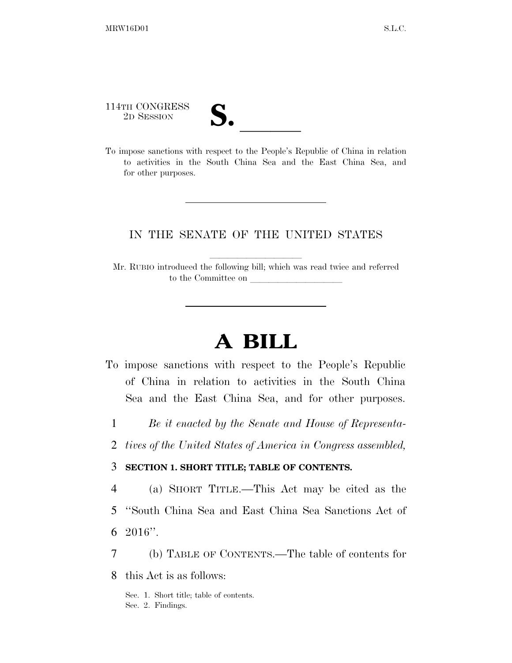114TH CONGRESS

| V. |  |
|----|--|
|    |  |

114TH CONGRESS<br>
2D SESSION<br>
To impose sanctions with respect to the People's Republic of China in relation to activities in the South China Sea and the East China Sea, and for other purposes.

#### IN THE SENATE OF THE UNITED STATES

Mr. RUBIO introduced the following bill; which was read twice and referred to the Committee on

# **A BILL**

- To impose sanctions with respect to the People's Republic of China in relation to activities in the South China Sea and the East China Sea, and for other purposes.
	- 1 *Be it enacted by the Senate and House of Representa-*
	- 2 *tives of the United States of America in Congress assembled,*

#### 3 **SECTION 1. SHORT TITLE; TABLE OF CONTENTS.**

- 4 (a) SHORT TITLE.—This Act may be cited as the 5 ''South China Sea and East China Sea Sanctions Act of
- 6  $2016$ ".
- 7 (b) TABLE OF CONTENTS.—The table of contents for
- 8 this Act is as follows:

Sec. 1. Short title; table of contents. Sec. 2. Findings.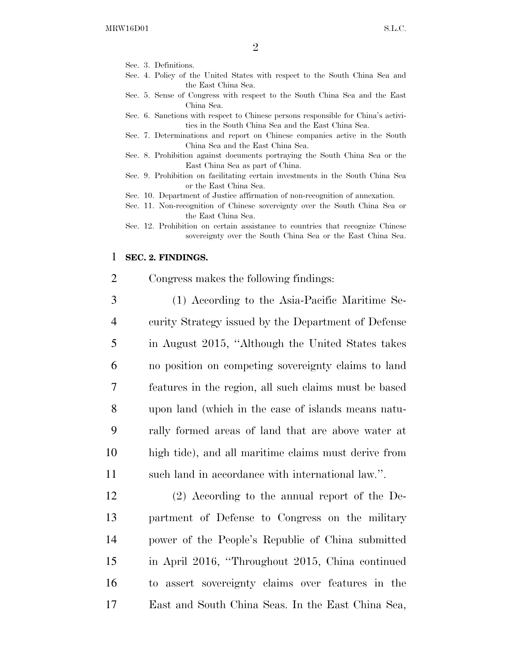- Sec. 3. Definitions.
- Sec. 4. Policy of the United States with respect to the South China Sea and the East China Sea.
- Sec. 5. Sense of Congress with respect to the South China Sea and the East China Sea.
- Sec. 6. Sanctions with respect to Chinese persons responsible for China's activities in the South China Sea and the East China Sea.
- Sec. 7. Determinations and report on Chinese companies active in the South China Sea and the East China Sea.
- Sec. 8. Prohibition against documents portraying the South China Sea or the East China Sea as part of China.
- Sec. 9. Prohibition on facilitating certain investments in the South China Sea or the East China Sea.
- Sec. 10. Department of Justice affirmation of non-recognition of annexation.
- Sec. 11. Non-recognition of Chinese sovereignty over the South China Sea or the East China Sea.
- Sec. 12. Prohibition on certain assistance to countries that recognize Chinese sovereignty over the South China Sea or the East China Sea.

#### 1 **SEC. 2. FINDINGS.**

- 2 Congress makes the following findings:
- 3 (1) According to the Asia-Pacific Maritime Se-4 curity Strategy issued by the Department of Defense 5 in August 2015, ''Although the United States takes 6 no position on competing sovereignty claims to land 7 features in the region, all such claims must be based 8 upon land (which in the case of islands means natu-9 rally formed areas of land that are above water at 10 high tide), and all maritime claims must derive from 11 such land in accordance with international law.''.

 (2) According to the annual report of the De- partment of Defense to Congress on the military power of the People's Republic of China submitted in April 2016, ''Throughout 2015, China continued to assert sovereignty claims over features in the East and South China Seas. In the East China Sea,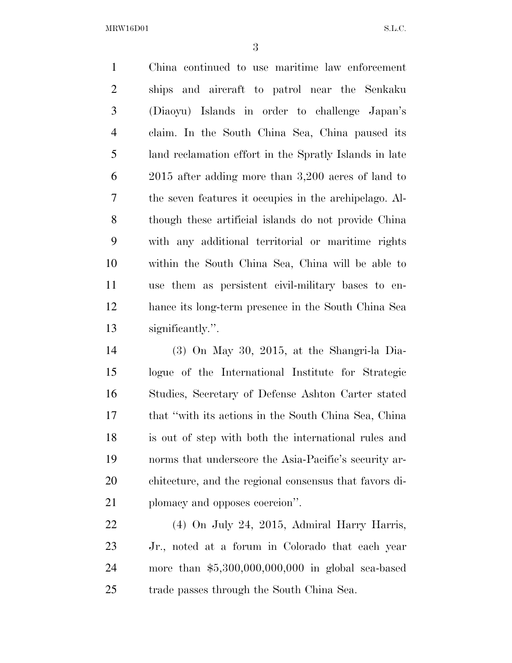China continued to use maritime law enforcement ships and aircraft to patrol near the Senkaku (Diaoyu) Islands in order to challenge Japan's claim. In the South China Sea, China paused its land reclamation effort in the Spratly Islands in late 2015 after adding more than 3,200 acres of land to the seven features it occupies in the archipelago. Al- though these artificial islands do not provide China with any additional territorial or maritime rights within the South China Sea, China will be able to use them as persistent civil-military bases to en- hance its long-term presence in the South China Sea significantly.''.

 (3) On May 30, 2015, at the Shangri-la Dia- logue of the International Institute for Strategic Studies, Secretary of Defense Ashton Carter stated that ''with its actions in the South China Sea, China is out of step with both the international rules and norms that underscore the Asia-Pacific's security ar- chitecture, and the regional consensus that favors di-plomacy and opposes coercion''.

 (4) On July 24, 2015, Admiral Harry Harris, Jr., noted at a forum in Colorado that each year more than \$5,300,000,000,000 in global sea-based trade passes through the South China Sea.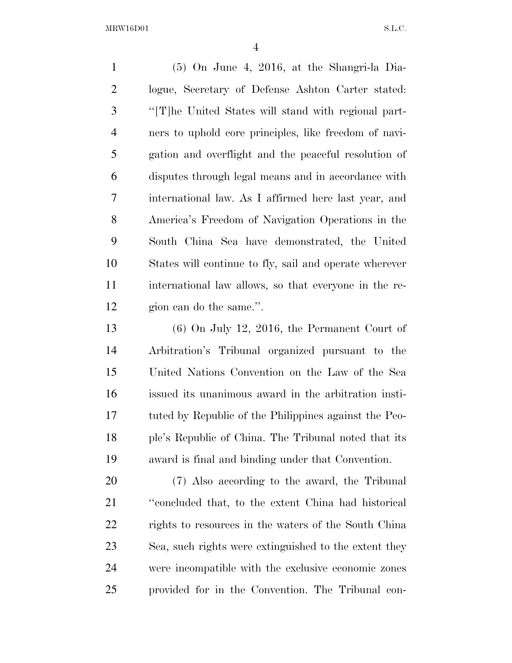(5) On June 4, 2016, at the Shangri-la Dia- logue, Secretary of Defense Ashton Carter stated: ''[T]he United States will stand with regional part- ners to uphold core principles, like freedom of navi- gation and overflight and the peaceful resolution of disputes through legal means and in accordance with international law. As I affirmed here last year, and America's Freedom of Navigation Operations in the South China Sea have demonstrated, the United States will continue to fly, sail and operate wherever international law allows, so that everyone in the re-gion can do the same.''.

 (6) On July 12, 2016, the Permanent Court of Arbitration's Tribunal organized pursuant to the United Nations Convention on the Law of the Sea issued its unanimous award in the arbitration insti- tuted by Republic of the Philippines against the Peo- ple's Republic of China. The Tribunal noted that its award is final and binding under that Convention.

 (7) Also according to the award, the Tribunal ''concluded that, to the extent China had historical rights to resources in the waters of the South China Sea, such rights were extinguished to the extent they were incompatible with the exclusive economic zones provided for in the Convention. The Tribunal con-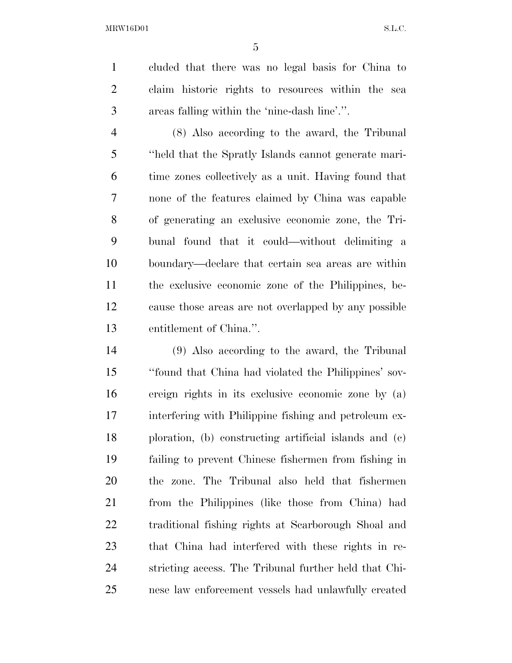cluded that there was no legal basis for China to claim historic rights to resources within the sea areas falling within the 'nine-dash line'.''.

 (8) Also according to the award, the Tribunal ''held that the Spratly Islands cannot generate mari- time zones collectively as a unit. Having found that none of the features claimed by China was capable of generating an exclusive economic zone, the Tri- bunal found that it could—without delimiting a boundary—declare that certain sea areas are within the exclusive economic zone of the Philippines, be- cause those areas are not overlapped by any possible entitlement of China.''.

 (9) Also according to the award, the Tribunal ''found that China had violated the Philippines' sov- ereign rights in its exclusive economic zone by (a) interfering with Philippine fishing and petroleum ex- ploration, (b) constructing artificial islands and (c) failing to prevent Chinese fishermen from fishing in the zone. The Tribunal also held that fishermen from the Philippines (like those from China) had traditional fishing rights at Scarborough Shoal and that China had interfered with these rights in re- stricting access. The Tribunal further held that Chi-nese law enforcement vessels had unlawfully created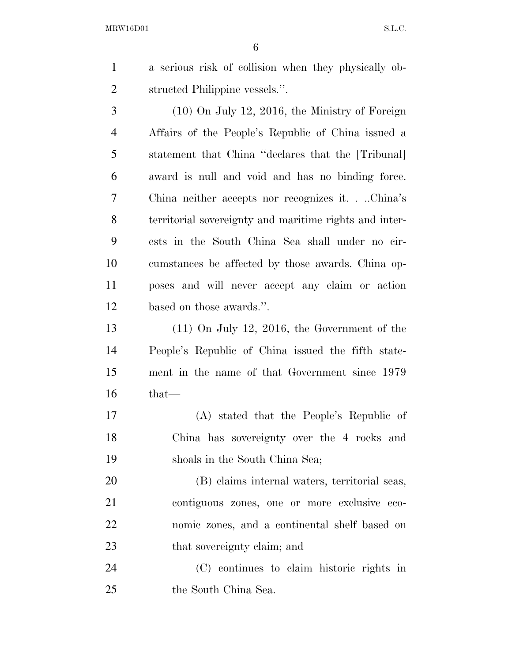a serious risk of collision when they physically ob-structed Philippine vessels.''.

 (10) On July 12, 2016, the Ministry of Foreign Affairs of the People's Republic of China issued a statement that China ''declares that the [Tribunal] award is null and void and has no binding force. China neither accepts nor recognizes it. . ..China's territorial sovereignty and maritime rights and inter- ests in the South China Sea shall under no cir- cumstances be affected by those awards. China op- poses and will never accept any claim or action based on those awards.''.

 (11) On July 12, 2016, the Government of the People's Republic of China issued the fifth state- ment in the name of that Government since 1979 that—

 (A) stated that the People's Republic of China has sovereignty over the 4 rocks and shoals in the South China Sea;

 (B) claims internal waters, territorial seas, contiguous zones, one or more exclusive eco- nomic zones, and a continental shelf based on 23 that sovereignty claim; and

 (C) continues to claim historic rights in the South China Sea.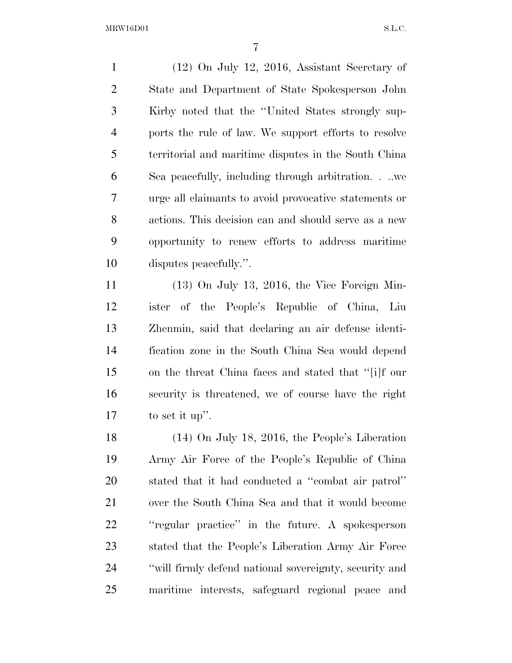(12) On July 12, 2016, Assistant Secretary of State and Department of State Spokesperson John Kirby noted that the ''United States strongly sup- ports the rule of law. We support efforts to resolve territorial and maritime disputes in the South China Sea peacefully, including through arbitration. . ..we urge all claimants to avoid provocative statements or actions. This decision can and should serve as a new opportunity to renew efforts to address maritime disputes peacefully.''.

 (13) On July 13, 2016, the Vice Foreign Min- ister of the People's Republic of China, Liu Zhenmin, said that declaring an air defense identi- fication zone in the South China Sea would depend on the threat China faces and stated that ''[i]f our security is threatened, we of course have the right to set it up''.

 (14) On July 18, 2016, the People's Liberation Army Air Force of the People's Republic of China stated that it had conducted a ''combat air patrol'' over the South China Sea and that it would become ''regular practice'' in the future. A spokesperson stated that the People's Liberation Army Air Force ''will firmly defend national sovereignty, security and maritime interests, safeguard regional peace and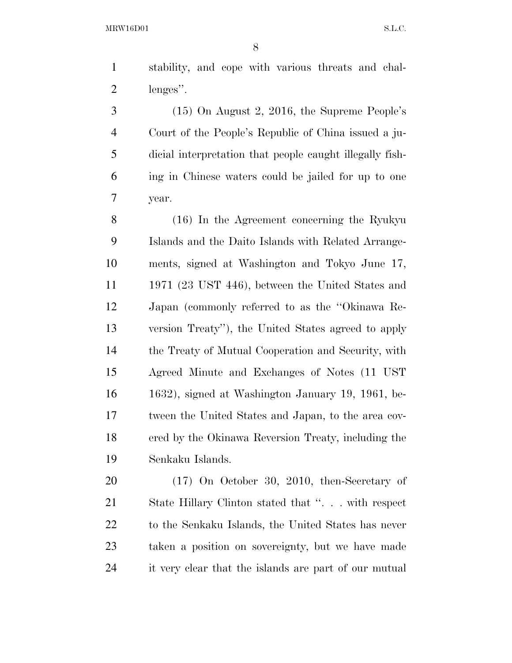stability, and cope with various threats and chal-lenges''.

 (15) On August 2, 2016, the Supreme People's Court of the People's Republic of China issued a ju- dicial interpretation that people caught illegally fish- ing in Chinese waters could be jailed for up to one year.

 (16) In the Agreement concerning the Ryukyu Islands and the Daito Islands with Related Arrange- ments, signed at Washington and Tokyo June 17, 1971 (23 UST 446), between the United States and Japan (commonly referred to as the ''Okinawa Re- version Treaty''), the United States agreed to apply the Treaty of Mutual Cooperation and Security, with Agreed Minute and Exchanges of Notes (11 UST 1632), signed at Washington January 19, 1961, be- tween the United States and Japan, to the area cov- ered by the Okinawa Reversion Treaty, including the Senkaku Islands.

 (17) On October 30, 2010, then-Secretary of State Hillary Clinton stated that ''. . . with respect 22 to the Senkaku Islands, the United States has never taken a position on sovereignty, but we have made it very clear that the islands are part of our mutual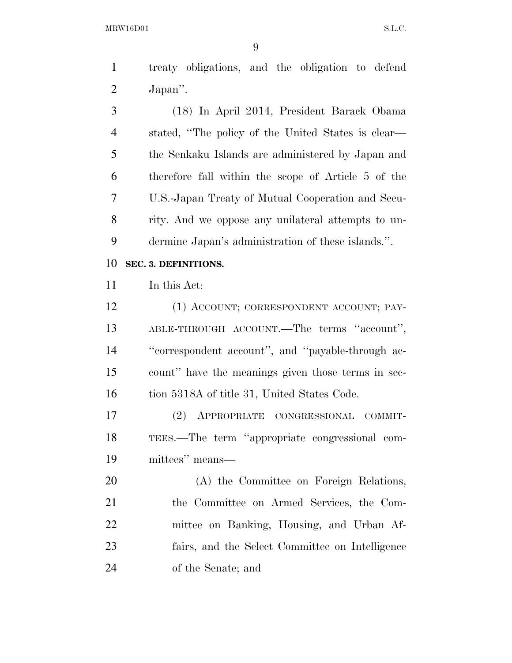treaty obligations, and the obligation to defend Japan''.

 (18) In April 2014, President Barack Obama stated, ''The policy of the United States is clear— the Senkaku Islands are administered by Japan and therefore fall within the scope of Article 5 of the U.S.-Japan Treaty of Mutual Cooperation and Secu- rity. And we oppose any unilateral attempts to un-dermine Japan's administration of these islands.''.

#### **SEC. 3. DEFINITIONS.**

In this Act:

12 (1) ACCOUNT; CORRESPONDENT ACCOUNT; PAY- ABLE-THROUGH ACCOUNT.—The terms ''account'', ''correspondent account'', and ''payable-through ac- count'' have the meanings given those terms in sec-16 tion 5318A of title 31, United States Code.

 (2) APPROPRIATE CONGRESSIONAL COMMIT- TEES.—The term ''appropriate congressional com-mittees'' means—

 (A) the Committee on Foreign Relations, the Committee on Armed Services, the Com- mittee on Banking, Housing, and Urban Af- fairs, and the Select Committee on Intelligence of the Senate; and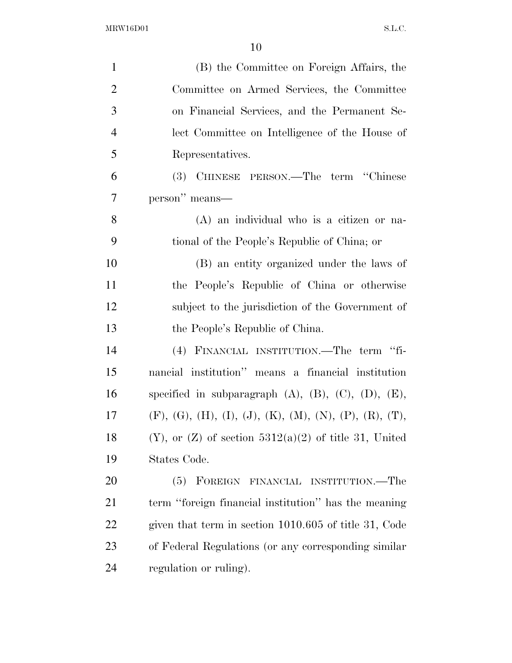| $\mathbf{1}$   | (B) the Committee on Foreign Affairs, the                         |
|----------------|-------------------------------------------------------------------|
| $\overline{2}$ | Committee on Armed Services, the Committee                        |
| 3              | on Financial Services, and the Permanent Se-                      |
| $\overline{4}$ | lect Committee on Intelligence of the House of                    |
| 5              | Representatives.                                                  |
| 6              | (3) CHINESE PERSON.—The term "Chinese"                            |
| 7              | person" means—                                                    |
| 8              | $(A)$ an individual who is a citizen or na-                       |
| 9              | tional of the People's Republic of China; or                      |
| 10             | (B) an entity organized under the laws of                         |
| 11             | the People's Republic of China or otherwise                       |
| 12             | subject to the jurisdiction of the Government of                  |
| 13             | the People's Republic of China.                                   |
| 14             | FINANCIAL INSTITUTION.—The term "fi-<br>(4)                       |
| 15             | nancial institution" means a financial institution                |
| 16             | specified in subparagraph $(A)$ , $(B)$ , $(C)$ , $(D)$ , $(E)$ , |
| 17             | $(F), (G), (H), (I), (J), (K), (M), (N), (P), (R), (T),$          |
| 18             | $(Y)$ , or $(Z)$ of section $5312(a)(2)$ of title 31, United      |
| 19             | States Code.                                                      |
| 20             | FOREIGN<br>FINANCIAL INSTITUTION.—The<br>(5)                      |
| 21             | term "foreign financial institution" has the meaning              |
| 22             | given that term in section 1010.605 of title 31, Code             |
| 23             | of Federal Regulations (or any corresponding similar              |
| 24             | regulation or ruling).                                            |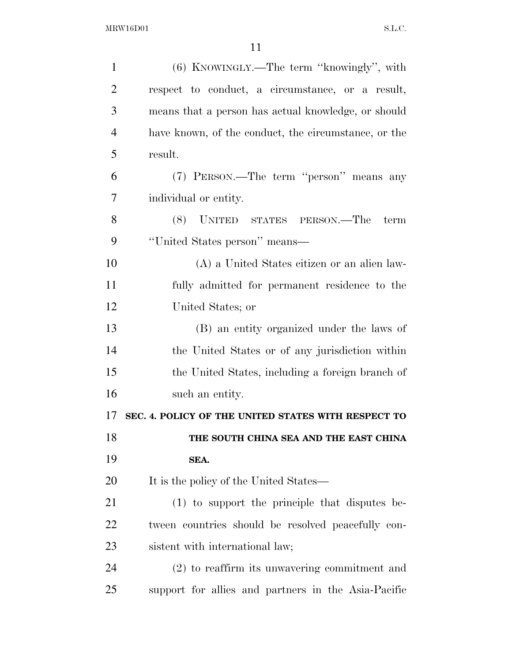| $\mathbf{1}$   | (6) KNOWINGLY.—The term "knowingly", with            |
|----------------|------------------------------------------------------|
| $\overline{2}$ | respect to conduct, a circumstance, or a result,     |
| 3              | means that a person has actual knowledge, or should  |
| $\overline{4}$ | have known, of the conduct, the circumstance, or the |
| 5              | result.                                              |
| 6              | (7) PERSON.—The term "person" means any              |
| 7              | individual or entity.                                |
| 8              | (8) UNITED STATES PERSON.—The<br>term                |
| 9              | "United States person" means—                        |
| 10             | (A) a United States citizen or an alien law-         |
| 11             | fully admitted for permanent residence to the        |
| 12             | United States; or                                    |
| 13             | (B) an entity organized under the laws of            |
| 14             | the United States or of any jurisdiction within      |
| 15             | the United States, including a foreign branch of     |
| 16             | such an entity.                                      |
| 17             | SEC. 4. POLICY OF THE UNITED STATES WITH RESPECT TO  |
| 18             | THE SOUTH CHINA SEA AND THE EAST CHINA               |
| 19             | SEA.                                                 |
| 20             | It is the policy of the United States—               |
| 21             | $(1)$ to support the principle that disputes be-     |
| 22             | tween countries should be resolved peacefully con-   |
| 23             | sistent with international law;                      |
| 24             | $(2)$ to reaffirm its unwavering commitment and      |
| 25             | support for allies and partners in the Asia-Pacific  |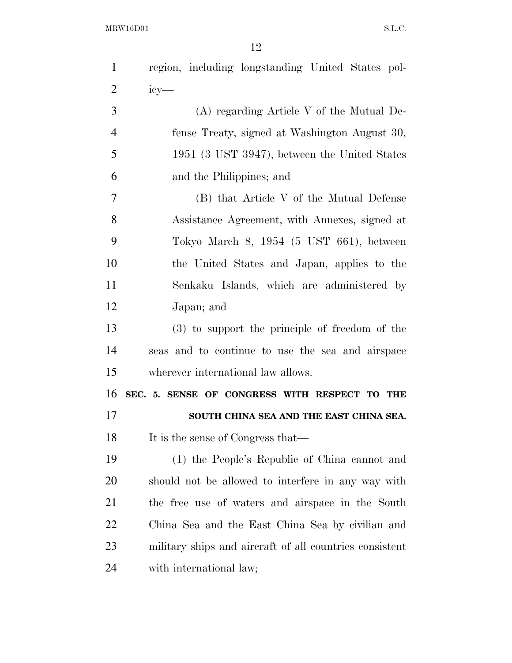| $\mathbf{1}$   | region, including longstanding United States pol-       |
|----------------|---------------------------------------------------------|
| $\overline{2}$ | $i$ cy—                                                 |
| 3              | $(A)$ regarding Article V of the Mutual De-             |
| $\overline{4}$ | fense Treaty, signed at Washington August 30,           |
| 5              | 1951 (3 UST 3947), between the United States            |
| 6              | and the Philippines; and                                |
| $\tau$         | (B) that Article V of the Mutual Defense                |
| 8              | Assistance Agreement, with Annexes, signed at           |
| 9              | Tokyo March 8, 1954 (5 UST 661), between                |
| 10             | the United States and Japan, applies to the             |
| 11             | Senkaku Islands, which are administered by              |
| 12             | Japan; and                                              |
| 13             | (3) to support the principle of freedom of the          |
| 14             | seas and to continue to use the sea and airspace        |
| 15             | wherever international law allows.                      |
| 16             |                                                         |
|                | SEC. 5. SENSE OF CONGRESS WITH RESPECT TO THE           |
| 17             | SOUTH CHINA SEA AND THE EAST CHINA SEA.                 |
| 18             | It is the sense of Congress that—                       |
| 19             | (1) the People's Republic of China cannot and           |
| 20             | should not be allowed to interfere in any way with      |
| 21             | the free use of waters and airspace in the South        |
| 22             | China Sea and the East China Sea by civilian and        |
| 23             | military ships and aircraft of all countries consistent |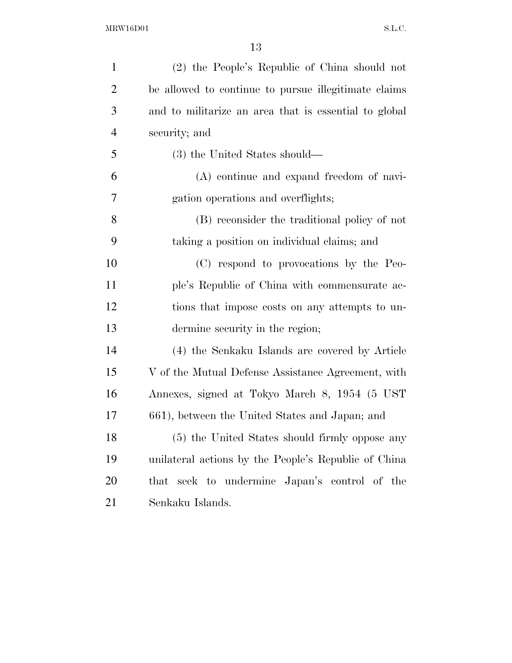| $\mathbf{1}$   | (2) the People's Republic of China should not         |
|----------------|-------------------------------------------------------|
| $\overline{2}$ | be allowed to continue to pursue illegitimate claims  |
| 3              | and to militarize an area that is essential to global |
| $\overline{4}$ | security; and                                         |
| 5              | (3) the United States should—                         |
| 6              | (A) continue and expand freedom of navi-              |
| 7              | gation operations and overflights;                    |
| 8              | (B) reconsider the traditional policy of not          |
| 9              | taking a position on individual claims; and           |
| 10             | (C) respond to provocations by the Peo-               |
| 11             | ple's Republic of China with commensurate ac-         |
| 12             | tions that impose costs on any attempts to un-        |
| 13             | dermine security in the region;                       |
| 14             | (4) the Senkaku Islands are covered by Article        |
| 15             | V of the Mutual Defense Assistance Agreement, with    |
| 16             | Annexes, signed at Tokyo March 8, 1954 (5 UST)        |
| 17             | 661), between the United States and Japan; and        |
| 18             | (5) the United States should firmly oppose any        |
| 19             | unilateral actions by the People's Republic of China  |
| 20             | that seek to undermine Japan's control of the         |
| 21             | Senkaku Islands.                                      |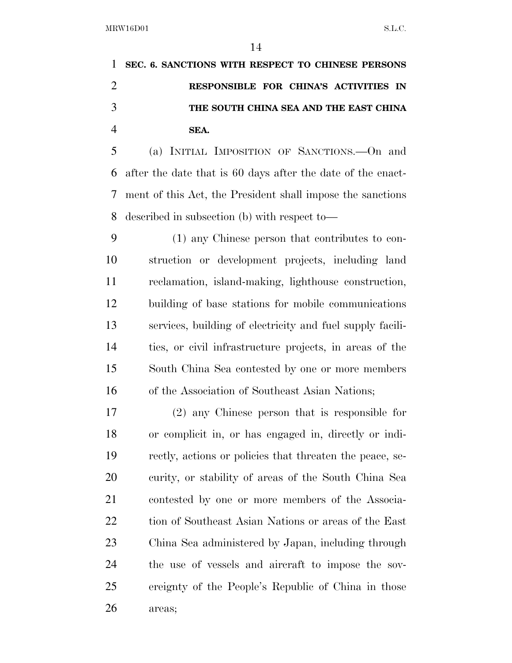**SEC. 6. SANCTIONS WITH RESPECT TO CHINESE PERSONS RESPONSIBLE FOR CHINA'S ACTIVITIES IN THE SOUTH CHINA SEA AND THE EAST CHINA SEA.** 

 (a) INITIAL IMPOSITION OF SANCTIONS.—On and after the date that is 60 days after the date of the enact- ment of this Act, the President shall impose the sanctions described in subsection (b) with respect to—

 (1) any Chinese person that contributes to con- struction or development projects, including land reclamation, island-making, lighthouse construction, building of base stations for mobile communications services, building of electricity and fuel supply facili- ties, or civil infrastructure projects, in areas of the South China Sea contested by one or more members of the Association of Southeast Asian Nations;

 (2) any Chinese person that is responsible for or complicit in, or has engaged in, directly or indi- rectly, actions or policies that threaten the peace, se- curity, or stability of areas of the South China Sea contested by one or more members of the Associa- tion of Southeast Asian Nations or areas of the East China Sea administered by Japan, including through the use of vessels and aircraft to impose the sov- ereignty of the People's Republic of China in those areas;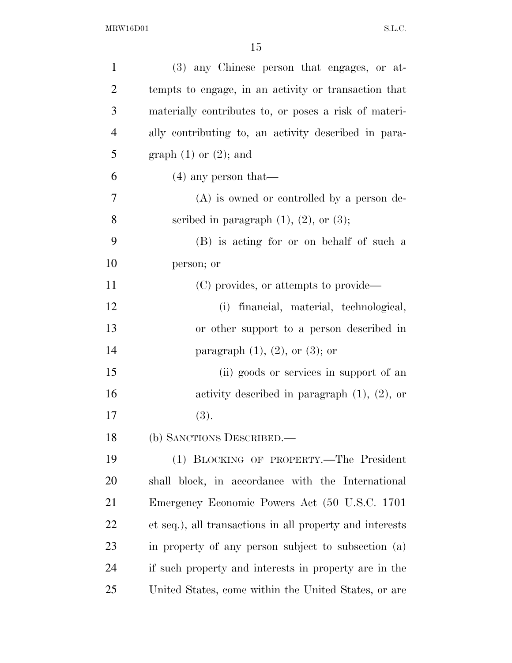| $\mathbf{1}$   | (3) any Chinese person that engages, or at-              |
|----------------|----------------------------------------------------------|
| $\overline{2}$ | tempts to engage, in an activity or transaction that     |
| 3              | materially contributes to, or poses a risk of materi-    |
| $\overline{4}$ | ally contributing to, an activity described in para-     |
| 5              | graph $(1)$ or $(2)$ ; and                               |
| 6              | $(4)$ any person that—                                   |
| 7              | $(A)$ is owned or controlled by a person de-             |
| 8              | scribed in paragraph $(1)$ , $(2)$ , or $(3)$ ;          |
| 9              | (B) is acting for or on behalf of such a                 |
| 10             | person; or                                               |
| 11             | (C) provides, or attempts to provide—                    |
| 12             | (i) financial, material, technological,                  |
| 13             | or other support to a person described in                |
| 14             | paragraph $(1)$ , $(2)$ , or $(3)$ ; or                  |
| 15             | (ii) goods or services in support of an                  |
| 16             | activity described in paragraph $(1)$ , $(2)$ , or       |
| 17             | (3).                                                     |
| 18             | (b) SANCTIONS DESCRIBED.—                                |
| 19             | (1) BLOCKING OF PROPERTY.—The President                  |
| 20             | shall block, in accordance with the International        |
| 21             | Emergency Economic Powers Act (50 U.S.C. 1701)           |
| 22             | et seq.), all transactions in all property and interests |
| 23             | in property of any person subject to subsection (a)      |
| 24             | if such property and interests in property are in the    |
| 25             | United States, come within the United States, or are     |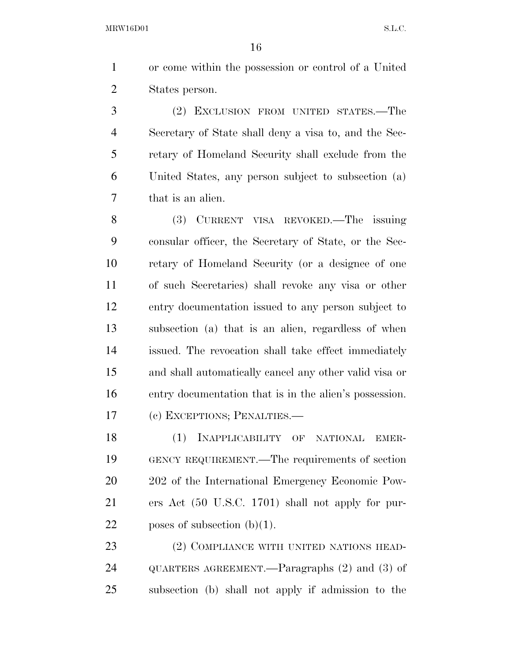or come within the possession or control of a United States person.

 (2) EXCLUSION FROM UNITED STATES.—The Secretary of State shall deny a visa to, and the Sec- retary of Homeland Security shall exclude from the United States, any person subject to subsection (a) that is an alien.

 (3) CURRENT VISA REVOKED.—The issuing consular officer, the Secretary of State, or the Sec- retary of Homeland Security (or a designee of one of such Secretaries) shall revoke any visa or other entry documentation issued to any person subject to subsection (a) that is an alien, regardless of when issued. The revocation shall take effect immediately and shall automatically cancel any other valid visa or entry documentation that is in the alien's possession. (c) EXCEPTIONS; PENALTIES.—

 (1) INAPPLICABILITY OF NATIONAL EMER- GENCY REQUIREMENT.—The requirements of section 202 of the International Emergency Economic Pow- ers Act (50 U.S.C. 1701) shall not apply for pur-22 poses of subsection  $(b)(1)$ .

23 (2) COMPLIANCE WITH UNITED NATIONS HEAD- QUARTERS AGREEMENT.—Paragraphs (2) and (3) of subsection (b) shall not apply if admission to the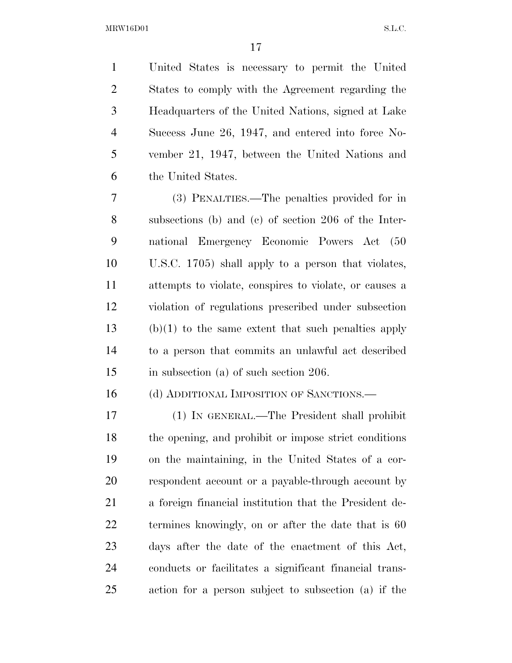United States is necessary to permit the United States to comply with the Agreement regarding the Headquarters of the United Nations, signed at Lake Success June 26, 1947, and entered into force No- vember 21, 1947, between the United Nations and the United States.

 (3) PENALTIES.—The penalties provided for in subsections (b) and (c) of section 206 of the Inter- national Emergency Economic Powers Act (50 U.S.C. 1705) shall apply to a person that violates, attempts to violate, conspires to violate, or causes a violation of regulations prescribed under subsection (b)(1) to the same extent that such penalties apply to a person that commits an unlawful act described in subsection (a) of such section 206.

16 (d) ADDITIONAL IMPOSITION OF SANCTIONS.

 (1) IN GENERAL.—The President shall prohibit the opening, and prohibit or impose strict conditions on the maintaining, in the United States of a cor- respondent account or a payable-through account by a foreign financial institution that the President de-22 termines knowingly, on or after the date that is 60 days after the date of the enactment of this Act, conducts or facilitates a significant financial trans-action for a person subject to subsection (a) if the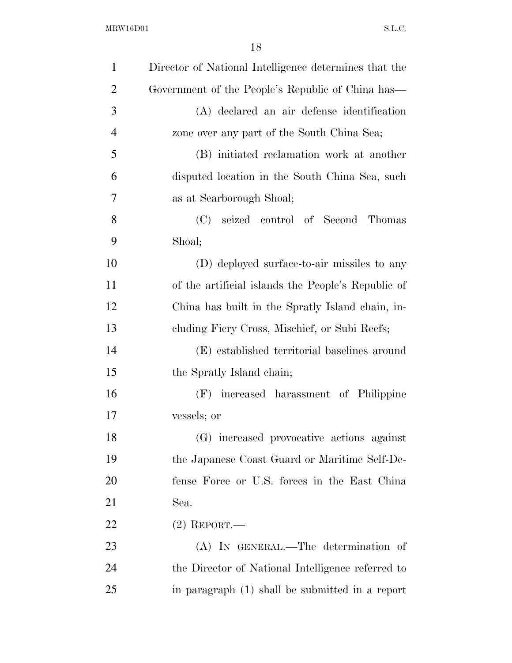| $\mathbf{1}$   | Director of National Intelligence determines that the |
|----------------|-------------------------------------------------------|
| $\overline{2}$ | Government of the People's Republic of China has—     |
| 3              | (A) declared an air defense identification            |
| $\overline{4}$ | zone over any part of the South China Sea;            |
| 5              | (B) initiated reclamation work at another             |
| 6              | disputed location in the South China Sea, such        |
| 7              | as at Scarborough Shoal;                              |
| 8              | seized control of Second Thomas<br>(C)                |
| 9              | Shoal;                                                |
| 10             | (D) deployed surface-to-air missiles to any           |
| 11             | of the artificial islands the People's Republic of    |
| 12             | China has built in the Spratly Island chain, in-      |
| 13             | cluding Fiery Cross, Mischief, or Subi Reefs;         |
| 14             | (E) established territorial baselines around          |
| 15             | the Spratly Island chain;                             |
| 16             | (F) increased harassment of Philippine                |
| 17             | vessels; or                                           |
| 18             | (G) increased provocative actions against             |
| 19             | the Japanese Coast Guard or Maritime Self-De-         |
| 20             | fense Force or U.S. forces in the East China          |
| 21             | Sea.                                                  |
| 22             | $(2)$ REPORT.—                                        |
| 23             | (A) IN GENERAL.—The determination of                  |
| 24             | the Director of National Intelligence referred to     |
| 25             | in paragraph (1) shall be submitted in a report       |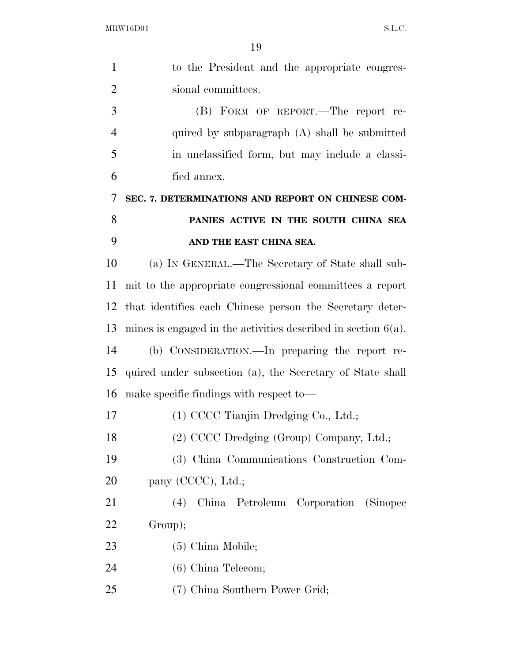| $\mathbf{1}$   | to the President and the appropriate congres-                    |
|----------------|------------------------------------------------------------------|
| $\overline{2}$ | sional committees.                                               |
| 3              | (B) FORM OF REPORT.—The report re-                               |
| $\overline{4}$ | quired by subparagraph (A) shall be submitted                    |
| 5              | in unclassified form, but may include a classi-                  |
| 6              | fied annex.                                                      |
| 7              | SEC. 7. DETERMINATIONS AND REPORT ON CHINESE COM-                |
| 8              | PANIES ACTIVE IN THE SOUTH CHINA SEA                             |
| 9              | AND THE EAST CHINA SEA.                                          |
| 10             | (a) IN GENERAL.—The Secretary of State shall sub-                |
| 11             | mit to the appropriate congressional committees a report         |
| 12             | that identifies each Chinese person the Secretary deter-         |
| 13             | mines is engaged in the activities described in section $6(a)$ . |
| 14             | (b) CONSIDERATION.—In preparing the report re-                   |
| 15             | quired under subsection (a), the Secretary of State shall        |
| 16             | make specific findings with respect to—                          |
| 17             | (1) CCCC Tianjin Dredging Co., Ltd.;                             |
| 18             | (2) CCCC Dredging (Group) Company, Ltd.;                         |
| 19             | (3) China Communications Construction Com-                       |
| 20             | pany (CCCC), Ltd.;                                               |
| 21             | China Petroleum Corporation (Sinopec<br>(4)                      |
| 22             | Group);                                                          |
| 23             | $(5)$ China Mobile;                                              |
| 24             | $(6)$ China Telecom;                                             |
| 25             | (7) China Southern Power Grid;                                   |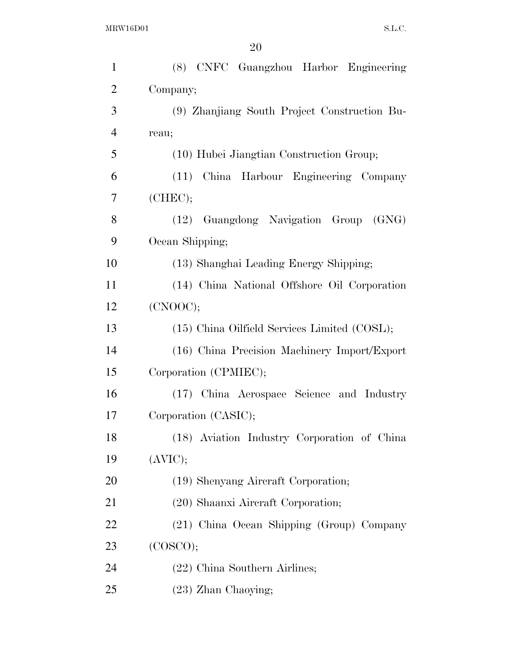| $\mathbf{1}$   | (8) CNFC Guangzhou Harbor Engineering        |
|----------------|----------------------------------------------|
| $\overline{2}$ | Company;                                     |
| 3              | (9) Zhanjiang South Project Construction Bu- |
| $\overline{4}$ | reau;                                        |
| 5              | (10) Hubei Jiangtian Construction Group;     |
| 6              | (11) China Harbour Engineering Company       |
| 7              | (CHEC);                                      |
| 8              | (12) Guangdong Navigation Group (GNG)        |
| 9              | Ocean Shipping;                              |
| 10             | (13) Shanghai Leading Energy Shipping;       |
| 11             | (14) China National Offshore Oil Corporation |
| 12             | (CNOOC);                                     |
| 13             | (15) China Oilfield Services Limited (COSL); |
| 14             | (16) China Precision Machinery Import/Export |
| 15             | Corporation (CPMIEC);                        |
| 16             | (17) China Aerospace Science and Industry    |
| 17             | Corporation (CASIC);                         |
| 18             | (18) Aviation Industry Corporation of China  |
| 19             | (AVIC);                                      |
| 20             | (19) Shenyang Aircraft Corporation;          |
| 21             | (20) Shaanxi Aircraft Corporation;           |
| 22             | (21) China Ocean Shipping (Group) Company    |
| 23             | (COSCO);                                     |
| 24             | (22) China Southern Airlines;                |
| 25             | $(23)$ Zhan Chaoying;                        |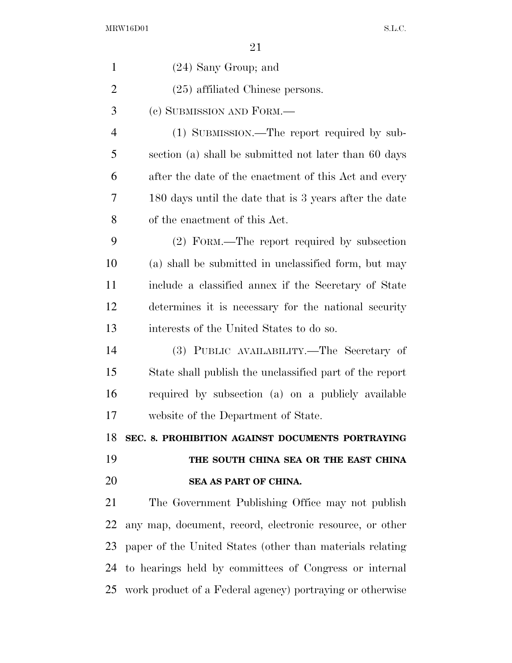| $\mathbf{1}$   | $(24)$ Sany Group; and                                    |
|----------------|-----------------------------------------------------------|
| $\overline{2}$ | $(25)$ affiliated Chinese persons.                        |
| 3              | (c) SUBMISSION AND FORM.—                                 |
| $\overline{4}$ | (1) SUBMISSION.—The report required by sub-               |
| 5              | section (a) shall be submitted not later than 60 days     |
| 6              | after the date of the enactment of this Act and every     |
| 7              | 180 days until the date that is 3 years after the date    |
| 8              | of the enactment of this Act.                             |
| 9              | (2) FORM.—The report required by subsection               |
| 10             | (a) shall be submitted in unclassified form, but may      |
| 11             | include a classified annex if the Secretary of State      |
| 12             | determines it is necessary for the national security      |
| 13             | interests of the United States to do so.                  |
| 14             | (3) PUBLIC AVAILABILITY.—The Secretary of                 |
| 15             | State shall publish the unclassified part of the report   |
| 16             | required by subsection (a) on a publicly available        |
| 17             | website of the Department of State.                       |
| 18             | SEC. 8. PROHIBITION AGAINST DOCUMENTS PORTRAYING          |
| 19             | THE SOUTH CHINA SEA OR THE EAST CHINA                     |
| 20             | SEA AS PART OF CHINA.                                     |
| 21             | The Government Publishing Office may not publish          |
| 22             | any map, document, record, electronic resource, or other  |
| 23             | paper of the United States (other than materials relating |
| 24             | to hearings held by committees of Congress or internal    |
| 25             | work product of a Federal agency) portraying or otherwise |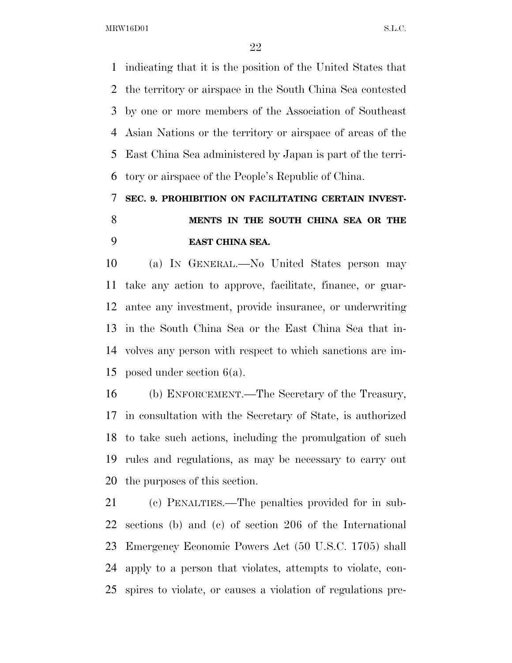indicating that it is the position of the United States that the territory or airspace in the South China Sea contested by one or more members of the Association of Southeast Asian Nations or the territory or airspace of areas of the East China Sea administered by Japan is part of the terri-tory or airspace of the People's Republic of China.

## **SEC. 9. PROHIBITION ON FACILITATING CERTAIN INVEST- MENTS IN THE SOUTH CHINA SEA OR THE EAST CHINA SEA.**

 (a) IN GENERAL.—No United States person may take any action to approve, facilitate, finance, or guar- antee any investment, provide insurance, or underwriting in the South China Sea or the East China Sea that in- volves any person with respect to which sanctions are im-posed under section 6(a).

 (b) ENFORCEMENT.—The Secretary of the Treasury, in consultation with the Secretary of State, is authorized to take such actions, including the promulgation of such rules and regulations, as may be necessary to carry out the purposes of this section.

 (c) PENALTIES.—The penalties provided for in sub- sections (b) and (c) of section 206 of the International Emergency Economic Powers Act (50 U.S.C. 1705) shall apply to a person that violates, attempts to violate, con-spires to violate, or causes a violation of regulations pre-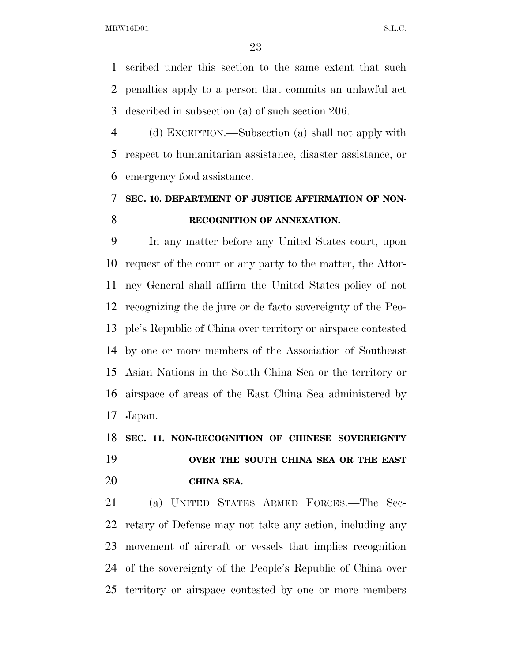scribed under this section to the same extent that such penalties apply to a person that commits an unlawful act described in subsection (a) of such section 206.

 (d) EXCEPTION.—Subsection (a) shall not apply with respect to humanitarian assistance, disaster assistance, or emergency food assistance.

### **SEC. 10. DEPARTMENT OF JUSTICE AFFIRMATION OF NON-RECOGNITION OF ANNEXATION.**

 In any matter before any United States court, upon request of the court or any party to the matter, the Attor- ney General shall affirm the United States policy of not recognizing the de jure or de facto sovereignty of the Peo- ple's Republic of China over territory or airspace contested by one or more members of the Association of Southeast Asian Nations in the South China Sea or the territory or airspace of areas of the East China Sea administered by Japan.

 **SEC. 11. NON-RECOGNITION OF CHINESE SOVEREIGNTY OVER THE SOUTH CHINA SEA OR THE EAST CHINA SEA.** 

 (a) UNITED STATES ARMED FORCES.—The Sec- retary of Defense may not take any action, including any movement of aircraft or vessels that implies recognition of the sovereignty of the People's Republic of China over territory or airspace contested by one or more members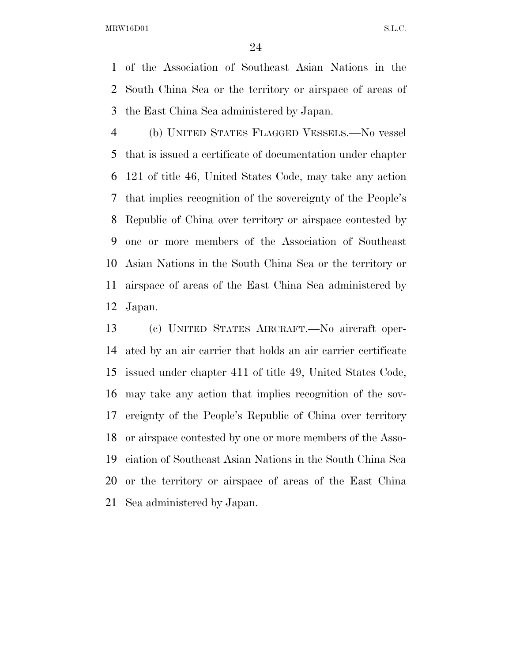of the Association of Southeast Asian Nations in the South China Sea or the territory or airspace of areas of the East China Sea administered by Japan.

 (b) UNITED STATES FLAGGED VESSELS.—No vessel that is issued a certificate of documentation under chapter 121 of title 46, United States Code, may take any action that implies recognition of the sovereignty of the People's Republic of China over territory or airspace contested by one or more members of the Association of Southeast Asian Nations in the South China Sea or the territory or airspace of areas of the East China Sea administered by Japan.

 (c) UNITED STATES AIRCRAFT.—No aircraft oper- ated by an air carrier that holds an air carrier certificate issued under chapter 411 of title 49, United States Code, may take any action that implies recognition of the sov- ereignty of the People's Republic of China over territory or airspace contested by one or more members of the Asso- ciation of Southeast Asian Nations in the South China Sea or the territory or airspace of areas of the East China Sea administered by Japan.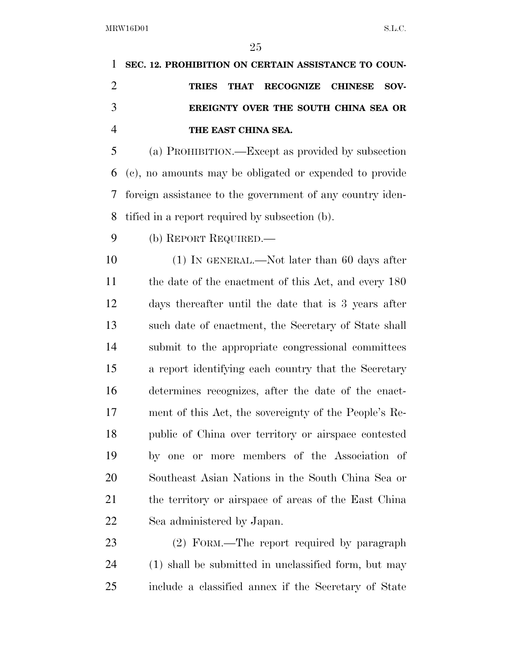|               | 1 SEC. 12. PROHIBITION ON CERTAIN ASSISTANCE TO COUN- |
|---------------|-------------------------------------------------------|
|               | TRIES THAT RECOGNIZE CHINESE SOV-                     |
| $\mathcal{R}$ | EREIGNTY OVER THE SOUTH CHINA SEA OR                  |
|               | THE EAST CHINA SEA.                                   |

 (a) PROHIBITION.—Except as provided by subsection (c), no amounts may be obligated or expended to provide foreign assistance to the government of any country iden-tified in a report required by subsection (b).

(b) REPORT REQUIRED.—

10 (1) IN GENERAL.—Not later than 60 days after 11 the date of the enactment of this Act, and every 180 days thereafter until the date that is 3 years after such date of enactment, the Secretary of State shall submit to the appropriate congressional committees a report identifying each country that the Secretary determines recognizes, after the date of the enact- ment of this Act, the sovereignty of the People's Re- public of China over territory or airspace contested by one or more members of the Association of Southeast Asian Nations in the South China Sea or the territory or airspace of areas of the East China Sea administered by Japan.

 (2) FORM.—The report required by paragraph (1) shall be submitted in unclassified form, but may include a classified annex if the Secretary of State